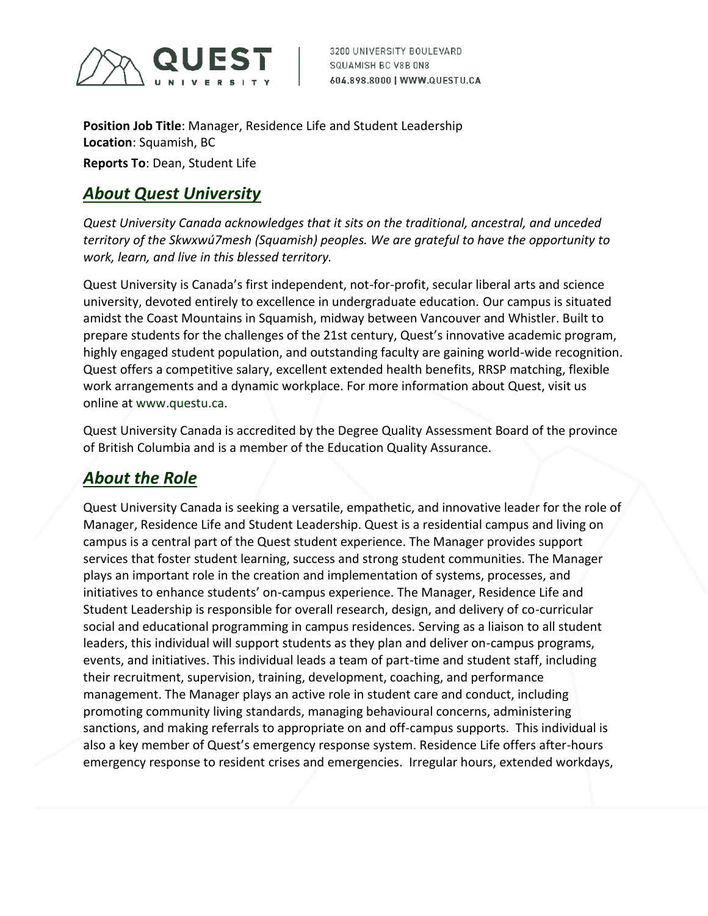

**Position Job Title**: Manager, Residence Life and Student Leadership **Location**: Squamish, BC **Reports To**: Dean, Student Life

### *About Quest University*

*Quest University Canada acknowledges that it sits on the traditional, ancestral, and unceded territory of the Skwxwú7mesh (Squamish) peoples. We are grateful to have the opportunity to work, learn, and live in this blessed territory.* 

Quest University is Canada's first independent, not-for-profit, secular liberal arts and science university, devoted entirely to excellence in undergraduate education*.* Our campus is situated amidst the Coast Mountains in Squamish, midway between Vancouver and Whistler. Built to prepare students for the challenges of the 21st century, Quest's innovative academic program, highly engaged student population, and outstanding faculty are gaining world-wide recognition. Quest offers a competitive salary, excellent extended health benefits, RRSP matching, flexible work arrangements and a dynamic workplace. For more information about Quest, visit us online at www.questu.ca.

Quest University Canada is accredited by the Degree Quality Assessment Board of the province of British Columbia and is a member of the Education Quality Assurance.

## *About the Role*

Quest University Canada is seeking a versatile, empathetic, and innovative leader for the role of Manager, Residence Life and Student Leadership. Quest is a residential campus and living on campus is a central part of the Quest student experience. The Manager provides support services that foster student learning, success and strong student communities. The Manager plays an important role in the creation and implementation of systems, processes, and initiatives to enhance students' on-campus experience. The Manager, Residence Life and Student Leadership is responsible for overall research, design, and delivery of co-curricular social and educational programming in campus residences. Serving as a liaison to all student leaders, this individual will support students as they plan and deliver on-campus programs, events, and initiatives. This individual leads a team of part-time and student staff, including their recruitment, supervision, training, development, coaching, and performance management. The Manager plays an active role in student care and conduct, including promoting community living standards, managing behavioural concerns, administering sanctions, and making referrals to appropriate on and off-campus supports. This individual is also a key member of Quest's emergency response system. Residence Life offers after-hours emergency response to resident crises and emergencies. Irregular hours, extended workdays,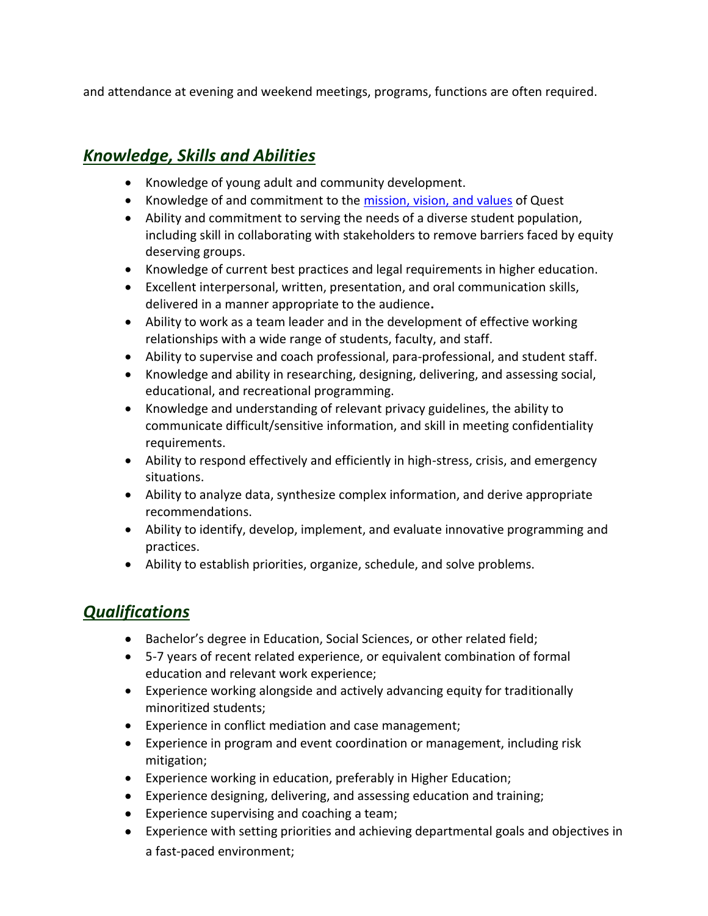and attendance at evening and weekend meetings, programs, functions are often required.

## *Knowledge, Skills and Abilities*

- Knowledge of young adult and community development.
- Knowledge of and commitment to the [mission, vision, and values](https://questu.ca/about/mission/) of Quest
- Ability and commitment to serving the needs of a diverse student population, including skill in collaborating with stakeholders to remove barriers faced by equity deserving groups.
- Knowledge of current best practices and legal requirements in higher education.
- Excellent interpersonal, written, presentation, and oral communication skills, delivered in a manner appropriate to the audience**.**
- Ability to work as a team leader and in the development of effective working relationships with a wide range of students, faculty, and staff.
- Ability to supervise and coach professional, para-professional, and student staff.
- Knowledge and ability in researching, designing, delivering, and assessing social, educational, and recreational programming.
- Knowledge and understanding of relevant privacy guidelines, the ability to communicate difficult/sensitive information, and skill in meeting confidentiality requirements.
- Ability to respond effectively and efficiently in high-stress, crisis, and emergency situations.
- Ability to analyze data, synthesize complex information, and derive appropriate recommendations.
- Ability to identify, develop, implement, and evaluate innovative programming and practices.
- Ability to establish priorities, organize, schedule, and solve problems.

### *Qualifications*

- Bachelor's degree in Education, Social Sciences, or other related field;
- 5-7 years of recent related experience, or equivalent combination of formal education and relevant work experience;
- Experience working alongside and actively advancing equity for traditionally minoritized students;
- Experience in conflict mediation and case management;
- Experience in program and event coordination or management, including risk mitigation;
- Experience working in education, preferably in Higher Education;
- Experience designing, delivering, and assessing education and training;
- Experience supervising and coaching a team;
- Experience with setting priorities and achieving departmental goals and objectives in a fast-paced environment;